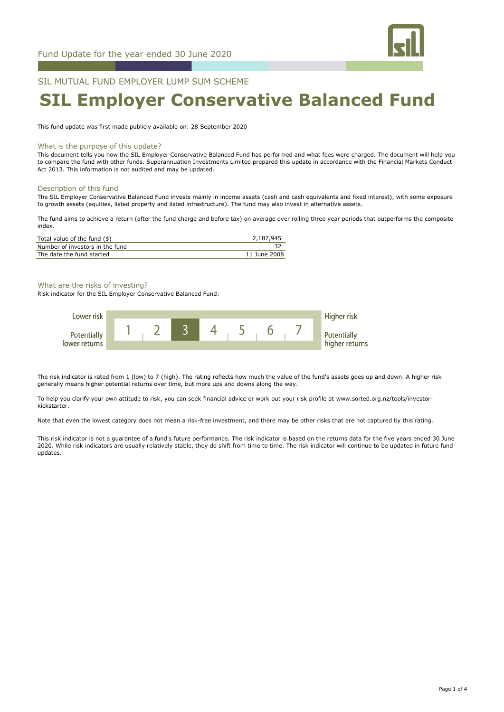

# SIL MUTUAL FUND EMPLOYER LUMP SUM SCHEME

# **SIL Employer Conservative Balanced Fund**

This fund update was first made publicly available on: 28 September 2020

#### What is the purpose of this update?

This document tells you how the SIL Employer Conservative Balanced Fund has performed and what fees were charged. The document will help you to compare the fund with other funds. Superannuation Investments Limited prepared this update in accordance with the Financial Markets Conduct Act 2013. This information is not audited and may be updated.

#### Description of this fund

The SIL Employer Conservative Balanced Fund invests mainly in income assets (cash and cash equivalents and fixed interest), with some exposure to growth assets (equities, listed property and listed infrastructure). The fund may also invest in alternative assets.

The fund aims to achieve a return (after the fund charge and before tax) on average over rolling three year periods that outperforms the composite index.

| Total value of the fund (\$)    | 2,187,945    |
|---------------------------------|--------------|
| Number of investors in the fund |              |
| The date the fund started       | 11 June 2008 |

# What are the risks of investing?

Risk indicator for the SIL Employer Conservative Balanced Fund:



The risk indicator is rated from 1 (low) to 7 (high). The rating reflects how much the value of the fund's assets goes up and down. A higher risk generally means higher potential returns over time, but more ups and downs along the way.

To help you clarify your own attitude to risk, you can seek financial advice or work out your risk profile at www.sorted.org.nz/tools/investorkickstarter.

Note that even the lowest category does not mean a risk-free investment, and there may be other risks that are not captured by this rating.

This risk indicator is not a guarantee of a fund's future performance. The risk indicator is based on the returns data for the five years ended 30 June 2020. While risk indicators are usually relatively stable, they do shift from time to time. The risk indicator will continue to be updated in future fund updates.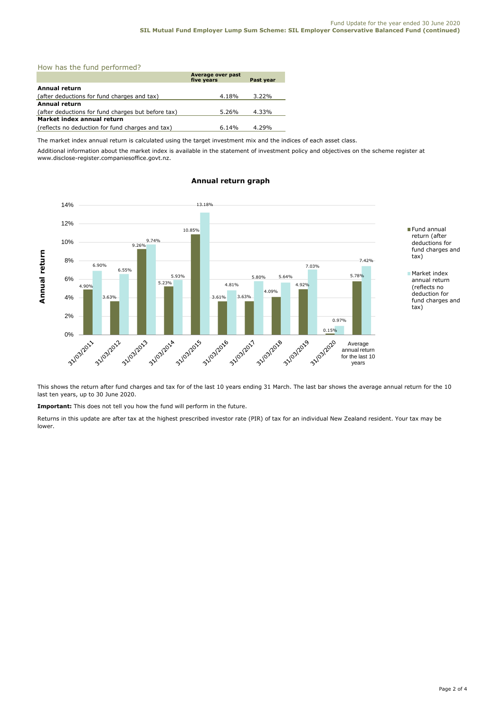## How has the fund performed?

|                                                    | Average over past<br>five years | Past year |
|----------------------------------------------------|---------------------------------|-----------|
| <b>Annual return</b>                               |                                 |           |
| (after deductions for fund charges and tax)        | 4.18%                           | $3.22\%$  |
| <b>Annual return</b>                               |                                 |           |
| (after deductions for fund charges but before tax) | 5.26%                           | 4.33%     |
| Market index annual return                         |                                 |           |
| (reflects no deduction for fund charges and tax)   | 6.14%                           | 4.29%     |

The market index annual return is calculated using the target investment mix and the indices of each asset class.

Additional information about the market index is available in the statement of investment policy and objectives on the scheme register at www.disclose-register.companiesoffice.govt.nz.



# **Annual return graph**

This shows the return after fund charges and tax for of the last 10 years ending 31 March. The last bar shows the average annual return for the 10 last ten years, up to 30 June 2020.

**Important:** This does not tell you how the fund will perform in the future.

Returns in this update are after tax at the highest prescribed investor rate (PIR) of tax for an individual New Zealand resident. Your tax may be lower.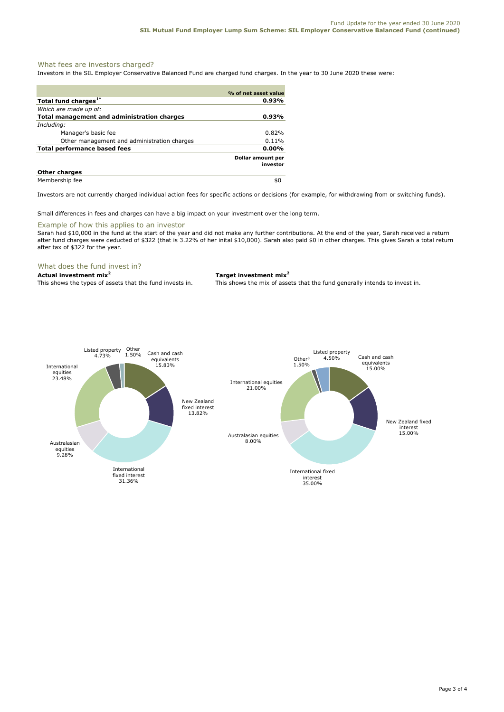# What fees are investors charged?

Investors in the SIL Employer Conservative Balanced Fund are charged fund charges. In the year to 30 June 2020 these were:

|                                                    | % of net asset value          |
|----------------------------------------------------|-------------------------------|
| Total fund charges <sup>1*</sup>                   | 0.93%                         |
| Which are made up of:                              |                               |
| <b>Total management and administration charges</b> | 0.93%                         |
| Including:                                         |                               |
| Manager's basic fee                                | 0.82%                         |
| Other management and administration charges        | 0.11%                         |
| Total performance based fees                       | 0.00%                         |
|                                                    | Dollar amount per<br>investor |
| <b>Other charges</b>                               |                               |
| Membership fee                                     | SC.                           |

Investors are not currently charged individual action fees for specific actions or decisions (for example, for withdrawing from or switching funds).

Small differences in fees and charges can have a big impact on your investment over the long term.

#### Example of how this applies to an investor

Sarah had \$10,000 in the fund at the start of the year and did not make any further contributions. At the end of the year, Sarah received a return after fund charges were deducted of \$322 (that is 3.22% of her inital \$10,000). Sarah also paid \$0 in other charges. This gives Sarah a total return after tax of \$322 for the year.

# What does the fund invest in?

#### **Actual investment mix<sup>2</sup> Target investment mix<sup>2</sup>**

This shows the types of assets that the fund invests in. This shows the mix of assets that the fund generally intends to invest in.